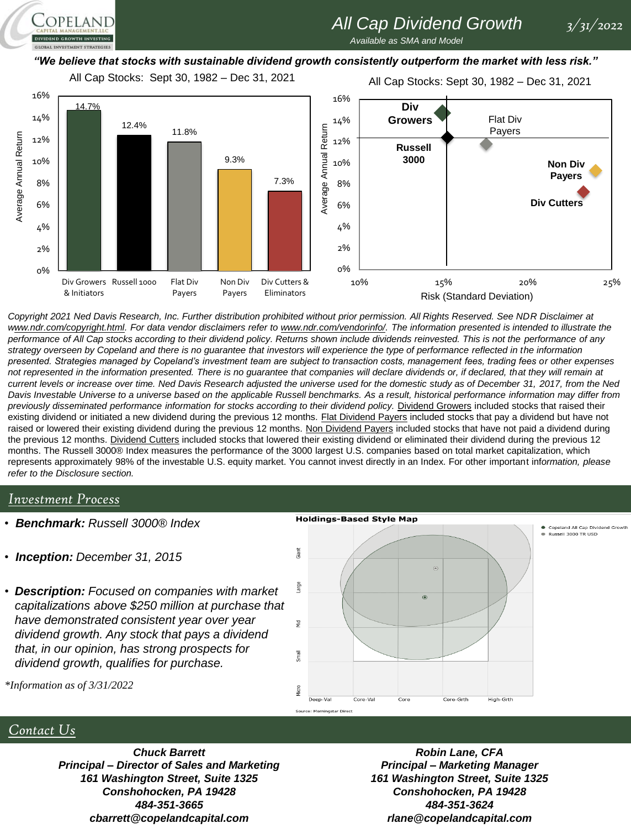# *All Cap Dividend Growth 3/31/2022*

*Available as SMA and Model* 

#### *"We believe that stocks with sustainable dividend growth consistently outperform the market with less risk."*

All Cap Stocks: Sept 30, 1982 – Dec 31, 2021

All Cap Stocks: Sept 30, 1982 – Dec 31, 2021



*Copyright 2021 Ned Davis Research, Inc. Further distribution prohibited without prior permission. All Rights Reserved. See NDR Disclaimer at*  www.ndr.com/copyright.html. For data vendor disclaimers refer to www.ndr.com/vendorinfo/. The information presented is intended to illustrate the *performance of All Cap stocks according to their dividend policy. Returns shown include dividends reinvested. This is not the performance of any strategy overseen by Copeland and there is no guarantee that investors will experience the type of performance reflected in the information presented. Strategies managed by Copeland's investment team are subject to transaction costs, management fees, trading fees or other expenses*  not represented in the information presented. There is no guarantee that companies will declare dividends or, if declared, that they will remain at *current levels or increase over time. Ned Davis Research adjusted the universe used for the domestic study as of December 31, 2017, from the Ned Davis Investable Universe to a universe based on the applicable Russell benchmarks. As a result, historical performance information may differ from*  previously disseminated performance information for stocks according to their dividend policy. Dividend Growers included stocks that raised their existing dividend or initiated a new dividend during the previous 12 months. Flat Dividend Payers included stocks that pay a dividend but have not raised or lowered their existing dividend during the previous 12 months. Non Dividend Payers included stocks that have not paid a dividend during the previous 12 months. Dividend Cutters included stocks that lowered their existing dividend or eliminated their dividend during the previous 12 months. The Russell 3000® Index measures the performance of the 3000 largest U.S. companies based on total market capitalization, which represents approximately 98% of the investable U.S. equity market. You cannot invest directly in an Index. For other important inf*ormation, please refer to the Disclosure section.*

#### *Investment Process*

OPELAND

- *Benchmark: Russell 3000® Index*
- *Inception: December 31, 2015*
- *Description: Focused on companies with market capitalizations above \$250 million at purchase that have demonstrated consistent year over year dividend growth. Any stock that pays a dividend that, in our opinion, has strong prospects for dividend growth, qualifies for purchase.*



*\*Information as of 3/31/2022*

#### *Contact Us*

*Chuck Barrett Principal – Director of Sales and Marketing 161 Washington Street, Suite 1325 Conshohocken, PA 19428 484-351-3665 cbarrett@copelandcapital.com*

*Robin Lane, CFA Principal – Marketing Manager 161 Washington Street, Suite 1325 Conshohocken, PA 19428 484-351-3624 rlane@copelandcapital.com*

Copeland All Cap Dividend Growth<br>Russell 3000 TR USD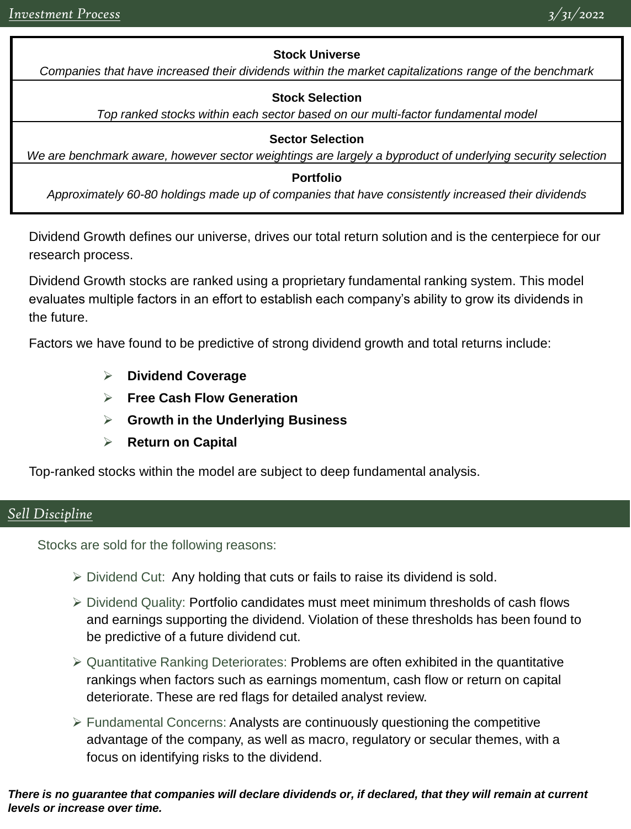## **Stock Universe**

*Companies that have increased their dividends within the market capitalizations range of the benchmark*

### **Stock Selection**

*Top ranked stocks within each sector based on our multi-factor fundamental model*

#### **Sector Selection**

*We are benchmark aware, however sector weightings are largely a byproduct of underlying security selection*

#### **Portfolio**

*Approximately 60-80 holdings made up of companies that have consistently increased their dividends*

Dividend Growth defines our universe, drives our total return solution and is the centerpiece for our research process.

Dividend Growth stocks are ranked using a proprietary fundamental ranking system. This model evaluates multiple factors in an effort to establish each company's ability to grow its dividends in the future.

Factors we have found to be predictive of strong dividend growth and total returns include:

- ➢ **Dividend Coverage**
- ➢ **Free Cash Flow Generation**
- ➢ **Growth in the Underlying Business**
- ➢ **Return on Capital**

Top-ranked stocks within the model are subject to deep fundamental analysis.

# *Sell Discipline*

Stocks are sold for the following reasons:

- $\triangleright$  Dividend Cut: Any holding that cuts or fails to raise its dividend is sold.
- ➢ Dividend Quality: Portfolio candidates must meet minimum thresholds of cash flows and earnings supporting the dividend. Violation of these thresholds has been found to be predictive of a future dividend cut.
- ➢ Quantitative Ranking Deteriorates: Problems are often exhibited in the quantitative rankings when factors such as earnings momentum, cash flow or return on capital deteriorate. These are red flags for detailed analyst review.
- ➢ Fundamental Concerns: Analysts are continuously questioning the competitive advantage of the company, as well as macro, regulatory or secular themes, with a focus on identifying risks to the dividend.

#### *There is no guarantee that companies will declare dividends or, if declared, that they will remain at current levels or increase over time.*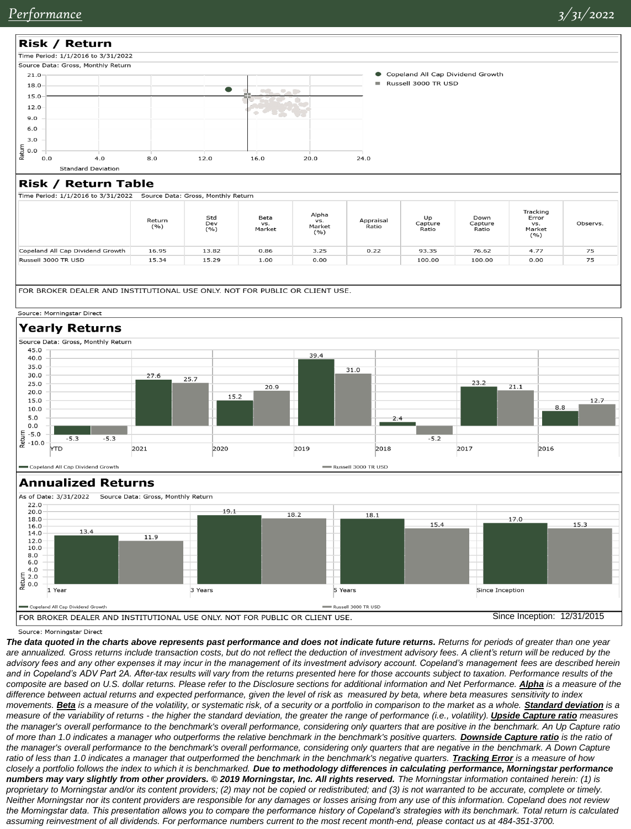

Source: Morningstar Direct

*The data quoted in the charts above represents past performance and does not indicate future returns. Returns for periods of greater than one year*  are annualized. Gross returns include transaction costs, but do not reflect the deduction of investment advisory fees. A client's return will be reduced by the *advisory fees and any other expenses it may incur in the management of its investment advisory account. Copeland's management fees are described herein*  and in Copeland's ADV Part 2A. After-tax results will vary from the returns presented here for those accounts subject to taxation. Performance results of the *composite are based on U.S. dollar returns. Please refer to the Disclosure sections for additional information and Net Performance. Alpha is a measure of the difference between actual returns and expected performance, given the level of risk as measured by beta, where beta measures sensitivity to index movements. Beta is a measure of the volatility, or systematic risk, of a security or a portfolio in comparison to the market as a whole. Standard deviation is a measure of the variability of returns - the higher the standard deviation, the greater the range of performance (i.e., volatility). Upside Capture ratio measures the manager's overall performance to the benchmark's overall performance, considering only quarters that are positive in the benchmark. An Up Capture ratio of more than 1.0 indicates a manager who outperforms the relative benchmark in the benchmark's positive quarters. Downside Capture ratio is the ratio of*  the manager's overall performance to the benchmark's overall performance, considering only quarters that are negative in the benchmark. A Down Capture ratio of less than 1.0 indicates a manager that outperformed the benchmark in the benchmark's negative quarters. *Tracking Error* is a measure of how closely a portfolio follows the index to which it is benchmarked. Due to methodology differences in calculating performance, Morningstar performance numbers may vary slightly from other providers. © 2019 Morningstar, Inc. All rights reserved. The Morningstar information contained herein: (1) is *proprietary to Morningstar and/or its content providers; (2) may not be copied or redistributed; and (3) is not warranted to be accurate, complete or timely. Neither Morningstar nor its content providers are responsible for any damages or losses arising from any use of this information. Copeland does not review the Morningstar data. This presentation allows you to compare the performance history of Copeland's strategies with its benchmark. Total return is calculated assuming reinvestment of all dividends. For performance numbers current to the most recent month-end, please contact us at 484-351-3700.*